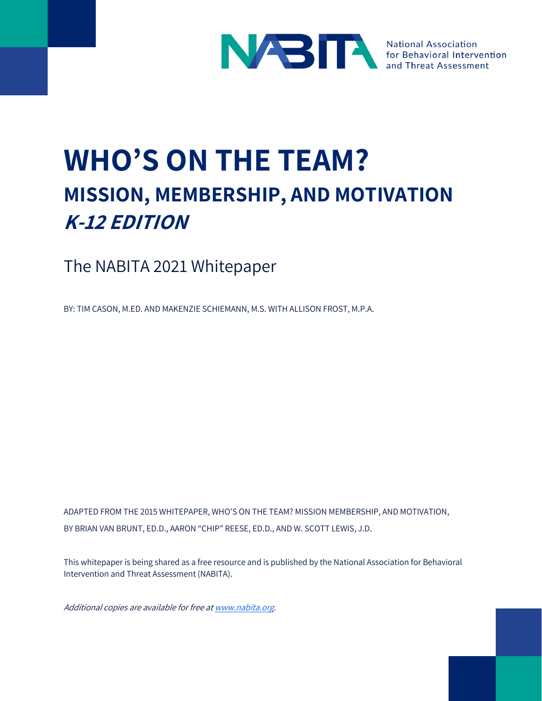

**Threat Assessment** 

# **WHO'S ON THE TEAM? MISSION, MEMBERSHIP, AND MOTIVATION K-12 EDITION**

The NABITA 2021 Whitepaper

BY: TIM CASON, M.ED. AND MAKENZIE SCHIEMANN, M.S. WITH ALLISON FROST, M.P.A.

ADAPTED FROM THE 2015 WHITEPAPER, WHO'S ON THE TEAM? MISSION MEMBERSHIP, AND MOTIVATION, BY BRIAN VAN BRUNT, ED.D., AARON "CHIP" REESE, ED.D., AND W. SCOTT LEWIS, J.D.

This whitepaper is being shared as a free resource and is published by the National Association for Behavioral Intervention and Threat Assessment (NABITA).

Additional copies are available for free a[t www.nabita.org.](http://www.nabita.org/)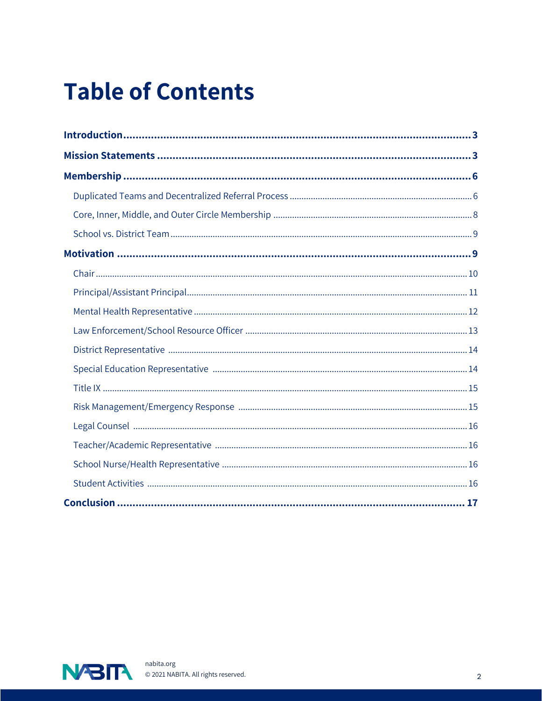# **Table of Contents**

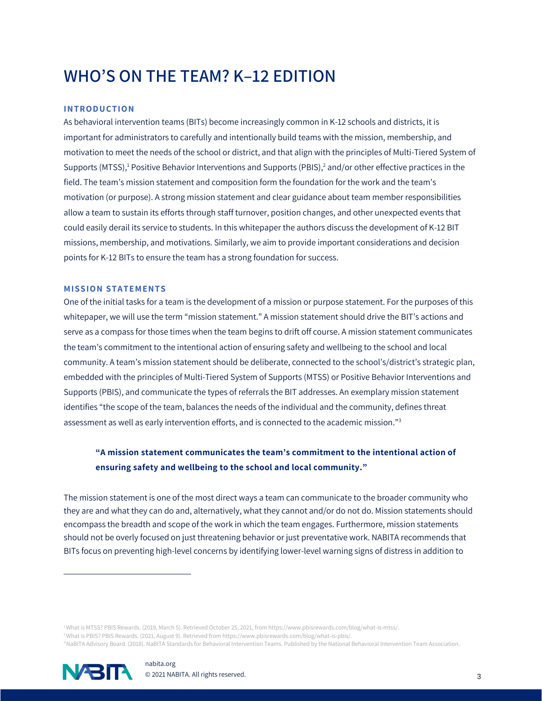# **WHO'S ON THE TEAM? K–12 EDITION**

#### **IN TRODU C TION**

As behavioral intervention teams (BITs) become increasingly common in K-12 schools and districts, it is important for administrators to carefully and intentionally build teams with the mission, membership, and motivation to meet the needs of the school or district, and that align with the principles of Multi-Tiered System of Supports (MTSS),<sup>1</sup> Positive Behavior Interventions and Supports (PBIS),<sup>2</sup> and/or other effective practices in the field. The team's mission statement and composition form the foundation for the work and the team's motivation (or purpose). A strong mission statement and clear guidance about team member responsibilities allow a team to sustain its efforts through staff turnover, position changes, and other unexpected events that could easily derail its service to students. In this whitepaper the authors discuss the development of K-12 BIT missions, membership, and motivations. Similarly, we aim to provide important considerations and decision points for K-12 BITs to ensure the team has a strong foundation for success.

#### **MISSION STATEMENTS**

One of the initial tasks for a team is the development of a mission or purpose statement. For the purposes of this whitepaper, we will use the term "mission statement." A mission statement should drive the BIT's actions and serve as a compass for those times when the team begins to drift off course. A mission statement communicates the team's commitment to the intentional action of ensuring safety and wellbeing to the school and local community. A team's mission statement should be deliberate, connected to the school's/district's strategic plan, embedded with the principles of Multi-Tiered System of Supports (MTSS) or Positive Behavior Interventions and Supports (PBIS), and communicate the types of referrals the BIT addresses. An exemplary mission statement identifies "the scope of the team, balances the needs of the individual and the community, defines threat assessment as well as early intervention efforts, and is connected to the academic mission."<sup>3</sup>

## **"A mission statement communicates the team's commitment to the intentional action of ensuring safety and wellbeing to the school and local community."**

The mission statement is one of the most direct ways a team can communicate to the broader community who they are and what they can do and, alternatively, what they cannot and/or do not do. Mission statements should encompass the breadth and scope of the work in which the team engages. Furthermore, mission statements should not be overly focused on just threatening behavior or just preventative work. NABITA recommends that BITs focus on preventing high-level concerns by identifying lower-level warning signs of distress in addition to

<sup>1</sup>What is MTSS? PBIS Rewards. (2019, March 5). Retrieved October 25, 2021, from https://www.pbisrewards.com/blog/what-is-mtss/. <sup>2</sup>What is PBIS? PBIS Rewards. (2021, August 9). Retrieved from https://www.pbisrewards.com/blog/what-is-pbis/. <sup>3</sup>NaBITA Advisory Board. (2018). NaBITA Standards for Behavioral Intervention Teams. Published by the National Behavioral Intervention Team Association.

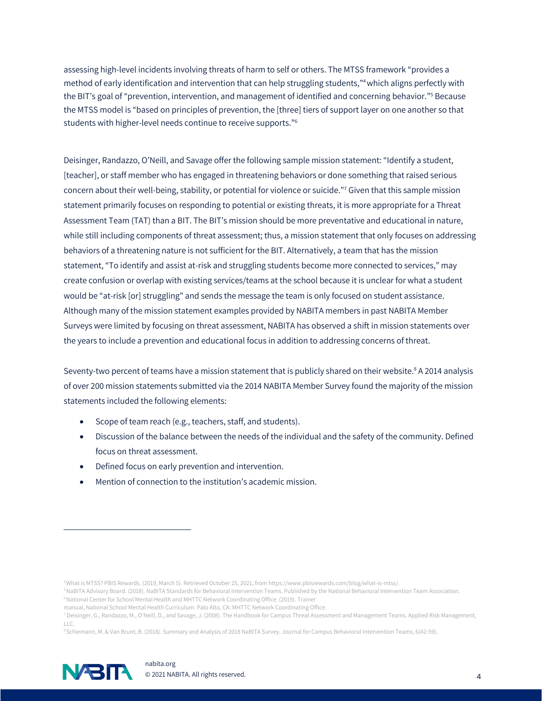assessing high-level incidents involving threats of harm to self or others. The MTSS framework "provides a method of early identification and intervention that can help struggling students,"4which aligns perfectly with the BIT's goal of "prevention, intervention, and management of identified and concerning behavior."<sup>5</sup> Because the MTSS model is "based on principles of prevention, the [three] tiers of support layer on one another so that students with higher-level needs continue to receive supports."<sup>6</sup>

Deisinger, Randazzo, O'Neill, and Savage offer the following sample mission statement: "Identify a student, [teacher], or staff member who has engaged in threatening behaviors or done something that raised serious concern about their well-being, stability, or potential for violence or suicide."<sup>7</sup> Given that this sample mission statement primarily focuses on responding to potential or existing threats, it is more appropriate for a Threat Assessment Team (TAT) than a BIT. The BIT's mission should be more preventative and educational in nature, while still including components of threat assessment; thus, a mission statement that only focuses on addressing behaviors of a threatening nature is not sufficient for the BIT. Alternatively, a team that has the mission statement, "To identify and assist at-risk and struggling students become more connected to services," may create confusion or overlap with existing services/teams at the school because it is unclear for what a student would be "at-risk [or] struggling" and sends the message the team is only focused on student assistance. Although many of the mission statement examples provided by NABITA members in past NABITA Member Surveys were limited by focusing on threat assessment, NABITA has observed a shift in mission statements over the years to include a prevention and educational focus in addition to addressing concerns of threat.

Seventy-two percent of teams have a mission statement that is publicly shared on their website.<sup>8</sup> A 2014 analysis of over 200 mission statements submitted via the 2014 NABITA Member Survey found the majority of the mission statements included the following elements:

- Scope of team reach (e.g., teachers, staff, and students).
- Discussion of the balance between the needs of the individual and the safety of the community. Defined focus on threat assessment.
- Defined focus on early prevention and intervention.
- Mention of connection to the institution's academic mission.

<sup>8</sup>Schiemann, M. & Van Brunt, B. (2018). Summary and Analysis of 2018 NaBITA Survey. Journal for Campus Behavioral Intervention Teams, 6(42-59).



<sup>4</sup>What is MTSS? PBIS Rewards. (2019, March 5). Retrieved October 25, 2021, from https://www.pbisrewards.com/blog/what-is-mtss/.

<sup>5</sup>NaBITA Advisory Board. (2018). NaBITA Standards for Behavioral Intervention Teams. Published by the National Behavioral Intervention Team Association. <sup>6</sup> National Center for School Mental Health and MHTTC Network Coordinating Office. (2019). Trainer

manual, National School Mental Health Curriculum. Palo Alto, CA: MHTTC Network Coordinating Office.

<sup>7</sup> Deisinger, G., Randazzo, M., O'Neill, D., and Savage, J. (2008). The Handbook for Campus Threat Assessment and Management Teams. Applied Risk Management, LLC.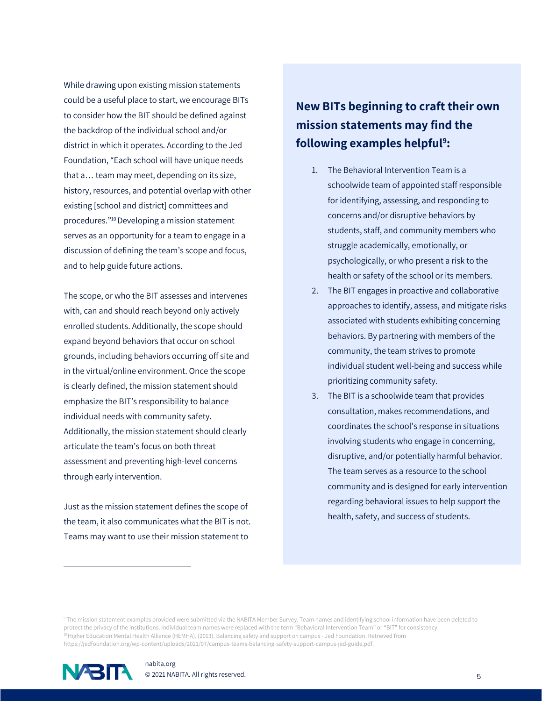While drawing upon existing mission statements could be a useful place to start, we encourage BITs to consider how the BIT should be defined against the backdrop of the individual school and/or district in which it operates. According to the Jed Foundation, "Each school will have unique needs that a… team may meet, depending on its size, history, resources, and potential overlap with other existing [school and district] committees and procedures."<sup>10</sup> Developing a mission statement serves as an opportunity for a team to engage in a discussion of defining the team's scope and focus, and to help guide future actions.

The scope, or who the BIT assesses and intervenes with, can and should reach beyond only actively enrolled students. Additionally, the scope should expand beyond behaviors that occur on school grounds, including behaviors occurring off site and in the virtual/online environment. Once the scope is clearly defined, the mission statement should emphasize the BIT's responsibility to balance individual needs with community safety. Additionally, the mission statement should clearly articulate the team's focus on both threat assessment and preventing high-level concerns through early intervention.

Just as the mission statement defines the scope of the team, it also communicates what the BIT is not. Teams may want to use their mission statement to

# **New BITs beginning to craft their own mission statements may find the following examples helpful<sup>9</sup> :**

- 1. The Behavioral Intervention Team is a schoolwide team of appointed staff responsible for identifying, assessing, and responding to concerns and/or disruptive behaviors by students, staff, and community members who struggle academically, emotionally, or psychologically, or who present a risk to the health or safety of the school or its members.
- 2. The BIT engages in proactive and collaborative approaches to identify, assess, and mitigate risks associated with students exhibiting concerning behaviors. By partnering with members of the community, the team strives to promote individual student well-being and success while prioritizing community safety.
- 3. The BIT is a schoolwide team that provides consultation, makes recommendations, and coordinates the school's response in situations involving students who engage in concerning, disruptive, and/or potentially harmful behavior. The team serves as a resource to the school community and is designed for early intervention regarding behavioral issues to help support the health, safety, and success of students.

<sup>9</sup> The mission statement examples provided were submitted via the NABITA Member Survey. Team names and identifying school information have been deleted to protect the privacy of the institutions. Individual team names were replaced with the term "Behavioral Intervention Team" or "BIT" for consistency. <sup>10</sup> Higher Education Mental Health Alliance (HEMHA). (2013). Balancing safety and support on campus - Jed Foundation. Retrieved from https://jedfoundation.org/wp-content/uploads/2021/07/campus-teams-balancing-safety-support-campus-jed-guide.pdf.

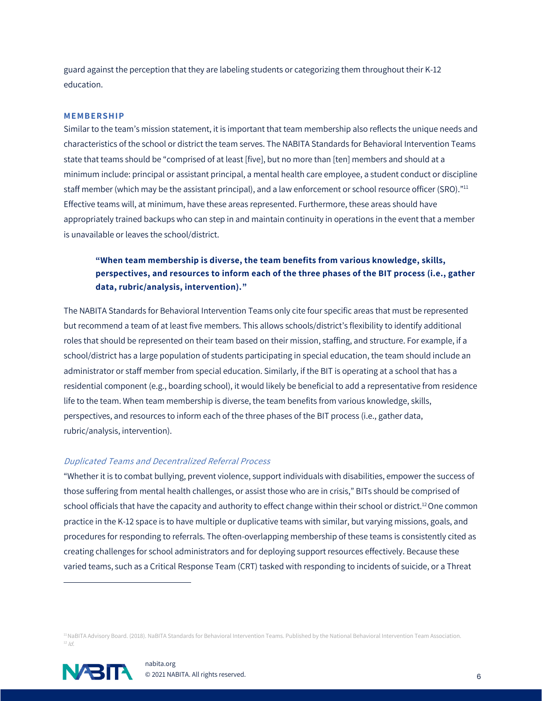guard against the perception that they are labeling students or categorizing them throughout their K-12 education.

#### **ME MB ER SHIP**

Similar to the team's mission statement, it is important that team membership also reflects the unique needs and characteristics of the school or district the team serves. The NABITA Standards for Behavioral Intervention Teams state that teams should be "comprised of at least [five], but no more than [ten] members and should at a minimum include: principal or assistant principal, a mental health care employee, a student conduct or discipline staff member (which may be the assistant principal), and a law enforcement or school resource officer (SRO)."<sup>11</sup> Effective teams will, at minimum, have these areas represented. Furthermore, these areas should have appropriately trained backups who can step in and maintain continuity in operations in the event that a member is unavailable or leaves the school/district.

### **"When team membership is diverse, the team benefits from various knowledge, skills, perspectives, and resources to inform each of the three phases of the BIT process (i.e., gather data, rubric/analysis, intervention)."**

The NABITA Standards for Behavioral Intervention Teams only cite four specific areas that must be represented but recommend a team of at least five members. This allows schools/district's flexibility to identify additional roles that should be represented on their team based on their mission, staffing, and structure. For example, if a school/district has a large population of students participating in special education, the team should include an administrator or staff member from special education. Similarly, if the BIT is operating at a school that has a residential component (e.g., boarding school), it would likely be beneficial to add a representative from residence life to the team. When team membership is diverse, the team benefits from various knowledge, skills, perspectives, and resources to inform each of the three phases of the BIT process (i.e., gather data, rubric/analysis, intervention).

#### Duplicated Teams and Decentralized Referral Process

"Whether it is to combat bullying, prevent violence, support individuals with disabilities, empower the success of those suffering from mental health challenges, or assist those who are in crisis," BITs should be comprised of school officials that have the capacity and authority to effect change within their school or district.<sup>12</sup> One common practice in the K-12 space is to have multiple or duplicative teams with similar, but varying missions, goals, and procedures for responding to referrals. The often-overlapping membership of these teams is consistently cited as creating challenges for school administrators and for deploying support resources effectively. Because these varied teams, such as a Critical Response Team (CRT) tasked with responding to incidents of suicide, or a Threat

<sup>11</sup>NaBITA Advisory Board. (2018). NaBITA Standards for Behavioral Intervention Teams. Published by the National Behavioral Intervention Team Association.  $12$  Id.

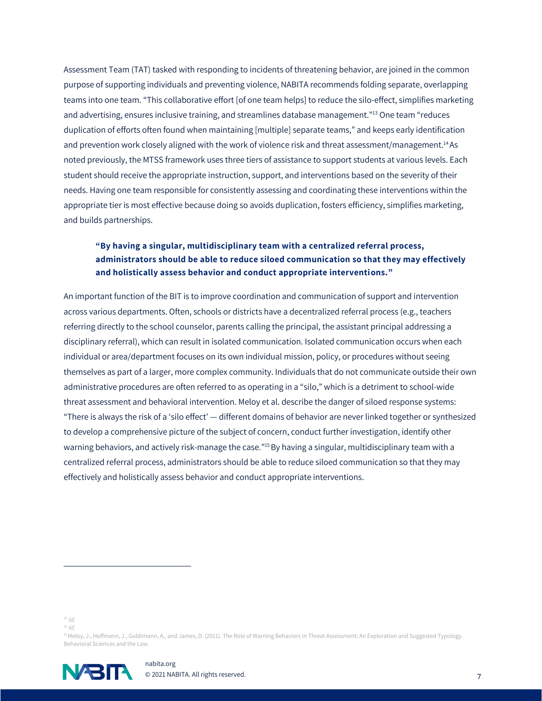Assessment Team (TAT) tasked with responding to incidents of threatening behavior, are joined in the common purpose of supporting individuals and preventing violence, NABITA recommends folding separate, overlapping teams into one team. "This collaborative effort [of one team helps] to reduce the silo-effect, simplifies marketing and advertising, ensures inclusive training, and streamlines database management."<sup>13</sup> One team "reduces duplication of efforts often found when maintaining [multiple] separate teams," and keeps early identification and prevention work closely aligned with the work of violence risk and threat assessment/management.<sup>14</sup>As noted previously, the MTSS framework uses three tiers of assistance to support students at various levels. Each student should receive the appropriate instruction, support, and interventions based on the severity of their needs. Having one team responsible for consistently assessing and coordinating these interventions within the appropriate tier is most effective because doing so avoids duplication, fosters efficiency, simplifies marketing, and builds partnerships.

### **"By having a singular, multidisciplinary team with a centralized referral process, administrators should be able to reduce siloed communication so that they may effectively and holistically assess behavior and conduct appropriate interventions."**

An important function of the BIT is to improve coordination and communication of support and intervention across various departments. Often, schools or districts have a decentralized referral process (e.g., teachers referring directly to the school counselor, parents calling the principal, the assistant principal addressing a disciplinary referral), which can result in isolated communication. Isolated communication occurs when each individual or area/department focuses on its own individual mission, policy, or procedures without seeing themselves as part of a larger, more complex community. Individuals that do not communicate outside their own administrative procedures are often referred to as operating in a "silo," which is a detriment to school-wide threat assessment and behavioral intervention. Meloy et al. describe the danger of siloed response systems: "There is always the risk of a 'silo effect' — different domains of behavior are never linked together or synthesized to develop a comprehensive picture of the subject of concern, conduct further investigation, identify other warning behaviors, and actively risk-manage the case."<sup>15</sup>By having a singular, multidisciplinary team with a centralized referral process, administrators should be able to reduce siloed communication so that they may effectively and holistically assess behavior and conduct appropriate interventions.

 $13$  /d.

 $^{14}$  /d.

<sup>15</sup> Meloy, J., Hoffmann, J., Guldimann, A., and James, D. (2011). The Role of Warning Behaviors in Threat Assessment: An Exploration and Suggested Typology. Behavioral Sciences and the Law.

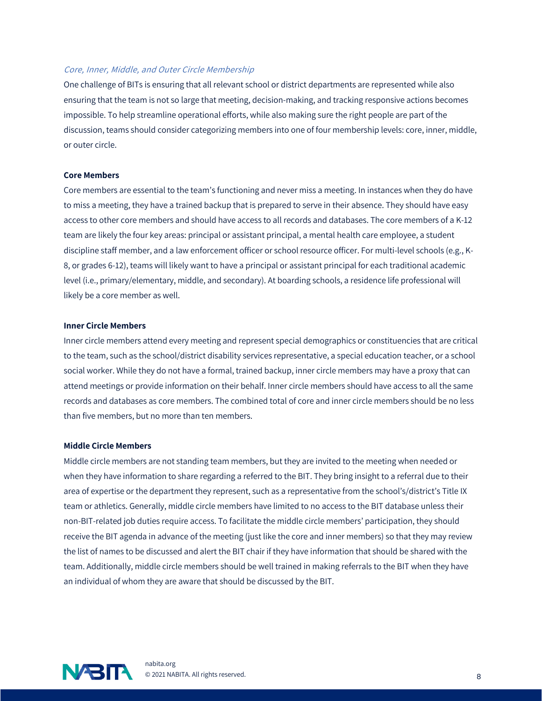#### Core, Inner, Middle, and Outer Circle Membership

One challenge of BITs is ensuring that all relevant school or district departments are represented while also ensuring that the team is not so large that meeting, decision-making, and tracking responsive actions becomes impossible. To help streamline operational efforts, while also making sure the right people are part of the discussion, teams should consider categorizing members into one of four membership levels: core, inner, middle, or outer circle.

#### **Core Members**

Core members are essential to the team's functioning and never miss a meeting. In instances when they do have to miss a meeting, they have a trained backup that is prepared to serve in their absence. They should have easy access to other core members and should have access to all records and databases. The core members of a K-12 team are likely the four key areas: principal or assistant principal, a mental health care employee, a student discipline staff member, and a law enforcement officer or school resource officer. For multi-level schools (e.g., K-8, or grades 6-12), teams will likely want to have a principal or assistant principal for each traditional academic level (i.e., primary/elementary, middle, and secondary). At boarding schools, a residence life professional will likely be a core member as well.

#### **Inner Circle Members**

Inner circle members attend every meeting and represent special demographics or constituencies that are critical to the team, such as the school/district disability services representative, a special education teacher, or a school social worker. While they do not have a formal, trained backup, inner circle members may have a proxy that can attend meetings or provide information on their behalf. Inner circle members should have access to all the same records and databases as core members. The combined total of core and inner circle members should be no less than five members, but no more than ten members.

#### **Middle Circle Members**

Middle circle members are not standing team members, but they are invited to the meeting when needed or when they have information to share regarding a referred to the BIT. They bring insight to a referral due to their area of expertise or the department they represent, such as a representative from the school's/district's Title IX team or athletics. Generally, middle circle members have limited to no access to the BIT database unless their non-BIT-related job duties require access. To facilitate the middle circle members' participation, they should receive the BIT agenda in advance of the meeting (just like the core and inner members) so that they may review the list of names to be discussed and alert the BIT chair if they have information that should be shared with the team. Additionally, middle circle members should be well trained in making referrals to the BIT when they have an individual of whom they are aware that should be discussed by the BIT.

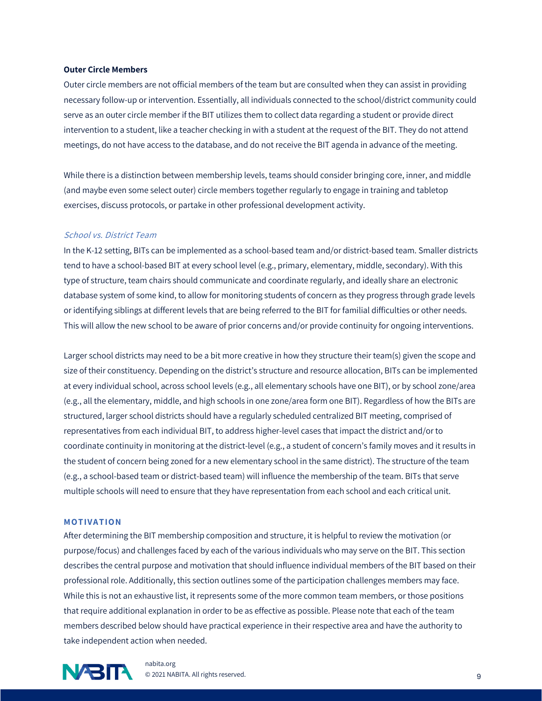#### **Outer Circle Members**

Outer circle members are not official members of the team but are consulted when they can assist in providing necessary follow-up or intervention. Essentially, all individuals connected to the school/district community could serve as an outer circle member if the BIT utilizes them to collect data regarding a student or provide direct intervention to a student, like a teacher checking in with a student at the request of the BIT. They do not attend meetings, do not have access to the database, and do not receive the BIT agenda in advance of the meeting.

While there is a distinction between membership levels, teams should consider bringing core, inner, and middle (and maybe even some select outer) circle members together regularly to engage in training and tabletop exercises, discuss protocols, or partake in other professional development activity.

#### School vs. District Team

In the K-12 setting, BITs can be implemented as a school-based team and/or district-based team. Smaller districts tend to have a school-based BIT at every school level (e.g., primary, elementary, middle, secondary). With this type of structure, team chairs should communicate and coordinate regularly, and ideally share an electronic database system of some kind, to allow for monitoring students of concern as they progress through grade levels or identifying siblings at different levels that are being referred to the BIT for familial difficulties or other needs. This will allow the new school to be aware of prior concerns and/or provide continuity for ongoing interventions.

Larger school districts may need to be a bit more creative in how they structure their team(s) given the scope and size of their constituency. Depending on the district's structure and resource allocation, BITs can be implemented at every individual school, across school levels (e.g., all elementary schools have one BIT), or by school zone/area (e.g., all the elementary, middle, and high schools in one zone/area form one BIT). Regardless of how the BITs are structured, larger school districts should have a regularly scheduled centralized BIT meeting, comprised of representatives from each individual BIT, to address higher-level cases that impact the district and/or to coordinate continuity in monitoring at the district-level (e.g., a student of concern's family moves and it results in the student of concern being zoned for a new elementary school in the same district). The structure of the team (e.g., a school-based team or district-based team) will influence the membership of the team. BITs that serve multiple schools will need to ensure that they have representation from each school and each critical unit.

#### **MO TIVA TION**

After determining the BIT membership composition and structure, it is helpful to review the motivation (or purpose/focus) and challenges faced by each of the various individuals who may serve on the BIT. This section describes the central purpose and motivation that should influence individual members of the BIT based on their professional role. Additionally, this section outlines some of the participation challenges members may face. While this is not an exhaustive list, it represents some of the more common team members, or those positions that require additional explanation in order to be as effective as possible. Please note that each of the team members described below should have practical experience in their respective area and have the authority to take independent action when needed.



nabita.org **OR PRESERVED THE CONSTRUCTION OF STATE OF A SET AND RESERVED ASSESS**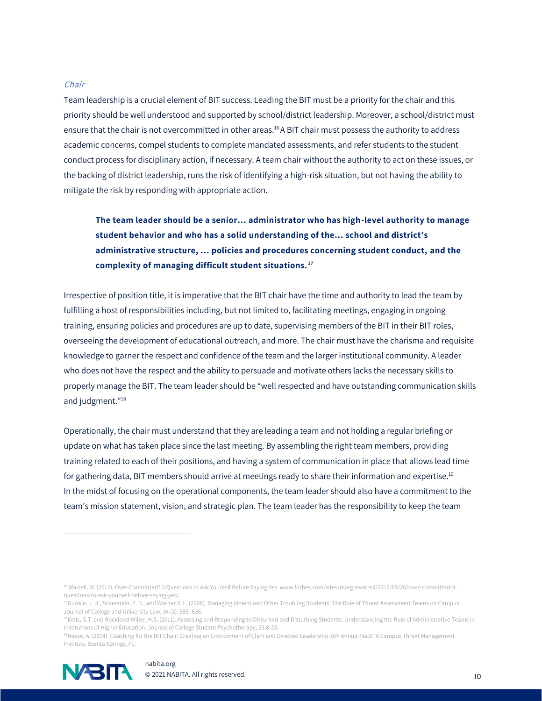#### Chair

Team leadership is a crucial element of BIT success. Leading the BIT must be a priority for the chair and this priority should be well understood and supported by school/district leadership. Moreover, a school/district must ensure that the chair is not overcommitted in other areas.<sup>16</sup>A BIT chair must possess the authority to address academic concerns, compel students to complete mandated assessments, and refer students to the student conduct process for disciplinary action, if necessary. A team chair without the authority to act on these issues, or the backing of district leadership, runs the risk of identifying a high-risk situation, but not having the ability to mitigate the risk by responding with appropriate action.

## **The team leader should be a senior… administrator who has high-level authority to manage student behavior and who has a solid understanding of the… school and district's administrative structure, … policies and procedures concerning student conduct, and the complexity of managing difficult student situations. <sup>17</sup>**

Irrespective of position title, it is imperative that the BIT chair have the time and authority to lead the team by fulfilling a host of responsibilities including, but not limited to, facilitating meetings, engaging in ongoing training, ensuring policies and procedures are up to date, supervising members of the BIT in their BIT roles, overseeing the development of educational outreach, and more. The chair must have the charisma and requisite knowledge to garner the respect and confidence of the team and the larger institutional community. A leader who does not have the respect and the ability to persuade and motivate others lacks the necessary skills to properly manage the BIT. The team leader should be "well respected and have outstanding communication skills and judgment."<sup>18</sup>

Operationally, the chair must understand that they are leading a team and not holding a regular briefing or update on what has taken place since the last meeting. By assembling the right team members, providing training related to each of their positions, and having a system of communication in place that allows lead time for gathering data, BIT members should arrive at meetings ready to share their information and expertise.<sup>19</sup> In the midst of focusing on the operational components, the team leader should also have a commitment to the team's mission statement, vision, and strategic plan. The team leader has the responsibility to keep the team

<sup>19</sup>Reese, A. (2014). Coaching for the BIT Chair: Creating an Environment of Clam and Directed Leadership. 6th Annual NaBITA Campus Threat Management Institute, Bonita Springs, FL.



<sup>16</sup> Warrell, M. (2012). Over-Committed? 3 Questions to Ask Yourself Before Saying Yes. www.forbes.com/sites/margiewarrell/2012/09/26/over-committed-3questions-to-ask-yourself-before-saying-yes/.

<sup>&</sup>lt;sup>17</sup> Dunkle, J. H., Silverstein, Z. B., and Warner S. L. (2008). Managing Violent and Other Troubling Students: The Role of Threat Assessment Teams on Campus. Journal of College and University Law, 34 (3): 585–636.

<sup>18</sup>Eells, G.T. and Rockland-Miller, H.S. (2011). Assessing and Responding to Disturbed and Disturbing Students: Understanding the Role of Administrative Teams in Institutions of Higher Education. Journal of College Student Psychotherapy, 25:8-23.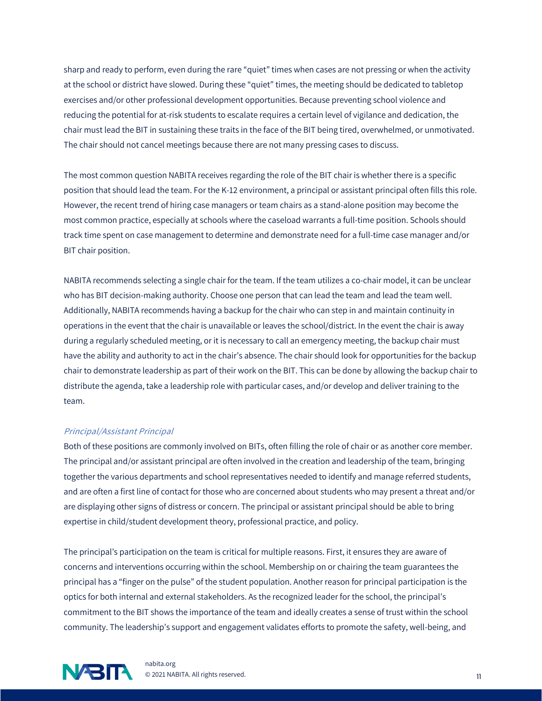sharp and ready to perform, even during the rare "quiet" times when cases are not pressing or when the activity at the school or district have slowed. During these "quiet" times, the meeting should be dedicated to tabletop exercises and/or other professional development opportunities. Because preventing school violence and reducing the potential for at-risk students to escalate requires a certain level of vigilance and dedication, the chair must lead the BIT in sustaining these traits in the face of the BIT being tired, overwhelmed, or unmotivated. The chair should not cancel meetings because there are not many pressing cases to discuss.

The most common question NABITA receives regarding the role of the BIT chair is whether there is a specific position that should lead the team. For the K-12 environment, a principal or assistant principal often fills this role. However, the recent trend of hiring case managers or team chairs as a stand-alone position may become the most common practice, especially at schools where the caseload warrants a full-time position. Schools should track time spent on case management to determine and demonstrate need for a full-time case manager and/or BIT chair position.

NABITA recommends selecting a single chair for the team. If the team utilizes a co-chair model, it can be unclear who has BIT decision-making authority. Choose one person that can lead the team and lead the team well. Additionally, NABITA recommends having a backup for the chair who can step in and maintain continuity in operations in the event that the chair is unavailable or leaves the school/district. In the event the chair is away during a regularly scheduled meeting, or it is necessary to call an emergency meeting, the backup chair must have the ability and authority to act in the chair's absence. The chair should look for opportunities for the backup chair to demonstrate leadership as part of their work on the BIT. This can be done by allowing the backup chair to distribute the agenda, take a leadership role with particular cases, and/or develop and deliver training to the team.

#### Principal/Assistant Principal

Both of these positions are commonly involved on BITs, often filling the role of chair or as another core member. The principal and/or assistant principal are often involved in the creation and leadership of the team, bringing together the various departments and school representatives needed to identify and manage referred students, and are often a first line of contact for those who are concerned about students who may present a threat and/or are displaying other signs of distress or concern. The principal or assistant principal should be able to bring expertise in child/student development theory, professional practice, and policy.

The principal's participation on the team is critical for multiple reasons. First, it ensures they are aware of concerns and interventions occurring within the school. Membership on or chairing the team guarantees the principal has a "finger on the pulse" of the student population. Another reason for principal participation is the optics for both internal and external stakeholders. As the recognized leader for the school, the principal's commitment to the BIT shows the importance of the team and ideally creates a sense of trust within the school community. The leadership's support and engagement validates efforts to promote the safety, well-being, and

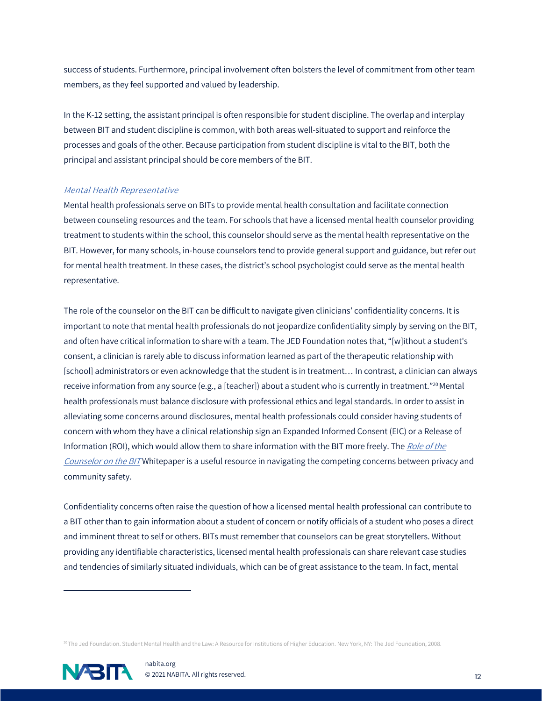success of students. Furthermore, principal involvement often bolsters the level of commitment from other team members, as they feel supported and valued by leadership.

In the K-12 setting, the assistant principal is often responsible for student discipline. The overlap and interplay between BIT and student discipline is common, with both areas well-situated to support and reinforce the processes and goals of the other. Because participation from student discipline is vital to the BIT, both the principal and assistant principal should be core members of the BIT.

#### Mental Health Representative

Mental health professionals serve on BITs to provide mental health consultation and facilitate connection between counseling resources and the team. For schools that have a licensed mental health counselor providing treatment to students within the school, this counselor should serve as the mental health representative on the BIT. However, for many schools, in-house counselors tend to provide general support and guidance, but refer out for mental health treatment. In these cases, the district's school psychologist could serve as the mental health representative.

The role of the counselor on the BIT can be difficult to navigate given clinicians' confidentiality concerns. It is important to note that mental health professionals do not jeopardize confidentiality simply by serving on the BIT, and often have critical information to share with a team. The JED Foundation notes that, "[w]ithout a student's consent, a clinician is rarely able to discuss information learned as part of the therapeutic relationship with [school] administrators or even acknowledge that the student is in treatment… In contrast, a clinician can always receive information from any source (e.g., a [teacher]) about a student who is currently in treatment."<sup>20</sup> Mental health professionals must balance disclosure with professional ethics and legal standards. In order to assist in alleviating some concerns around disclosures, mental health professionals could consider having students of concern with whom they have a clinical relationship sign an Expanded Informed Consent (EIC) or a Release of Information (ROI), which would allow them to share information with the BIT more freely. The Role of the [Counselor on the BIT](https://www.nabita.org/resources/nabita-2018-whitepaper-the-role-of-the-counselor-on-the-bit/?tkn=38518757e5) Whitepaper is a useful resource in navigating the competing concerns between privacy and community safety.

Confidentiality concerns often raise the question of how a licensed mental health professional can contribute to a BIT other than to gain information about a student of concern or notify officials of a student who poses a direct and imminent threat to self or others. BITs must remember that counselors can be great storytellers. Without providing any identifiable characteristics, licensed mental health professionals can share relevant case studies and tendencies of similarly situated individuals, which can be of great assistance to the team. In fact, mental

<sup>&</sup>lt;sup>20</sup>The Jed Foundation. Student Mental Health and the Law: A Resource for Institutions of Higher Education. New York, NY: The Jed Foundation, 2008.

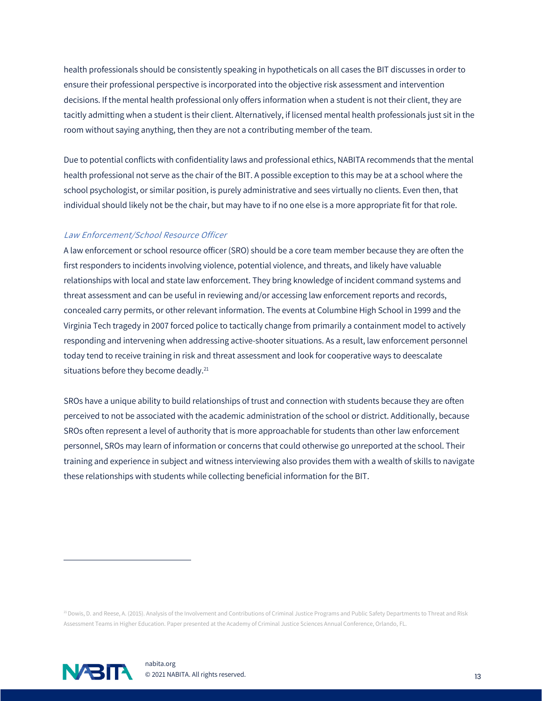health professionals should be consistently speaking in hypotheticals on all cases the BIT discusses in order to ensure their professional perspective is incorporated into the objective risk assessment and intervention decisions. If the mental health professional only offers information when a student is not their client, they are tacitly admitting when a student is their client. Alternatively, if licensed mental health professionals just sit in the room without saying anything, then they are not a contributing member of the team.

Due to potential conflicts with confidentiality laws and professional ethics, NABITA recommends that the mental health professional not serve as the chair of the BIT. A possible exception to this may be at a school where the school psychologist, or similar position, is purely administrative and sees virtually no clients. Even then, that individual should likely not be the chair, but may have to if no one else is a more appropriate fit for that role.

#### Law Enforcement/School Resource Officer

A law enforcement or school resource officer (SRO) should be a core team member because they are often the first responders to incidents involving violence, potential violence, and threats, and likely have valuable relationships with local and state law enforcement. They bring knowledge of incident command systems and threat assessment and can be useful in reviewing and/or accessing law enforcement reports and records, concealed carry permits, or other relevant information. The events at Columbine High School in 1999 and the Virginia Tech tragedy in 2007 forced police to tactically change from primarily a containment model to actively responding and intervening when addressing active-shooter situations. As a result, law enforcement personnel today tend to receive training in risk and threat assessment and look for cooperative ways to deescalate situations before they become deadly.<sup>21</sup>

SROs have a unique ability to build relationships of trust and connection with students because they are often perceived to not be associated with the academic administration of the school or district. Additionally, because SROs often represent a level of authority that is more approachable for students than other law enforcement personnel, SROs may learn of information or concerns that could otherwise go unreported at the school. Their training and experience in subject and witness interviewing also provides them with a wealth of skills to navigate these relationships with students while collecting beneficial information for the BIT.

<sup>21</sup>Dowis, D. and Reese, A. (2015). Analysis of the Involvement and Contributions of Criminal Justice Programs and Public Safety Departments to Threat and Risk Assessment Teams in Higher Education. Paper presented at the Academy of Criminal Justice Sciences Annual Conference, Orlando, FL.

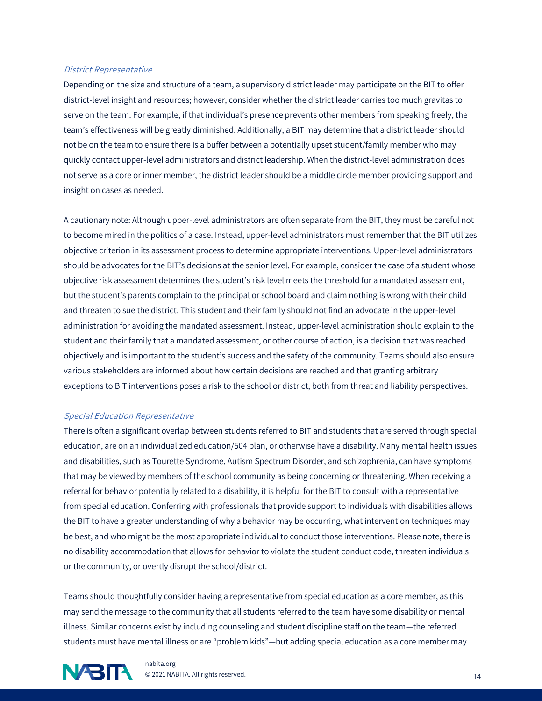#### District Representative

Depending on the size and structure of a team, a supervisory district leader may participate on the BIT to offer district-level insight and resources; however, consider whether the district leader carries too much gravitas to serve on the team. For example, if that individual's presence prevents other members from speaking freely, the team's effectiveness will be greatly diminished. Additionally, a BIT may determine that a district leader should not be on the team to ensure there is a buffer between a potentially upset student/family member who may quickly contact upper-level administrators and district leadership. When the district-level administration does not serve as a core or inner member, the district leader should be a middle circle member providing support and insight on cases as needed.

A cautionary note: Although upper-level administrators are often separate from the BIT, they must be careful not to become mired in the politics of a case. Instead, upper-level administrators must remember that the BIT utilizes objective criterion in its assessment process to determine appropriate interventions. Upper-level administrators should be advocates for the BIT's decisions at the senior level. For example, consider the case of a student whose objective risk assessment determines the student's risk level meets the threshold for a mandated assessment, but the student's parents complain to the principal or school board and claim nothing is wrong with their child and threaten to sue the district. This student and their family should not find an advocate in the upper-level administration for avoiding the mandated assessment. Instead, upper-level administration should explain to the student and their family that a mandated assessment, or other course of action, is a decision that was reached objectively and is important to the student's success and the safety of the community. Teams should also ensure various stakeholders are informed about how certain decisions are reached and that granting arbitrary exceptions to BIT interventions poses a risk to the school or district, both from threat and liability perspectives.

#### Special Education Representative

There is often a significant overlap between students referred to BIT and students that are served through special education, are on an individualized education/504 plan, or otherwise have a disability. Many mental health issues and disabilities, such as Tourette Syndrome, Autism Spectrum Disorder, and schizophrenia, can have symptoms that may be viewed by members of the school community as being concerning or threatening. When receiving a referral for behavior potentially related to a disability, it is helpful for the BIT to consult with a representative from special education. Conferring with professionals that provide support to individuals with disabilities allows the BIT to have a greater understanding of why a behavior may be occurring, what intervention techniques may be best, and who might be the most appropriate individual to conduct those interventions. Please note, there is no disability accommodation that allows for behavior to violate the student conduct code, threaten individuals or the community, or overtly disrupt the school/district.

Teams should thoughtfully consider having a representative from special education as a core member, as this may send the message to the community that all students referred to the team have some disability or mental illness. Similar concerns exist by including counseling and student discipline staff on the team—the referred students must have mental illness or are "problem kids"—but adding special education as a core member may

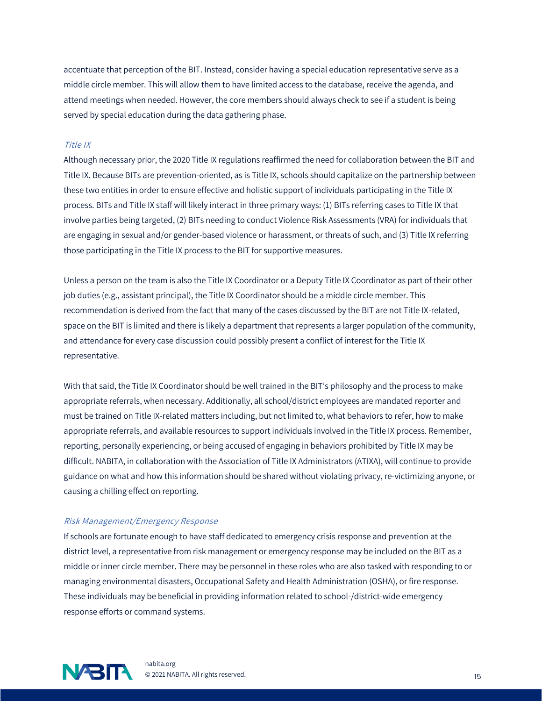accentuate that perception of the BIT. Instead, consider having a special education representative serve as a middle circle member. This will allow them to have limited access to the database, receive the agenda, and attend meetings when needed. However, the core members should always check to see if a student is being served by special education during the data gathering phase.

#### Title IX

Although necessary prior, the 2020 Title IX regulations reaffirmed the need for collaboration between the BIT and Title IX. Because BITs are prevention-oriented, as is Title IX, schools should capitalize on the partnership between these two entities in order to ensure effective and holistic support of individuals participating in the Title IX process. BITs and Title IX staff will likely interact in three primary ways: (1) BITs referring cases to Title IX that involve parties being targeted, (2) BITs needing to conduct Violence Risk Assessments (VRA) for individuals that are engaging in sexual and/or gender-based violence or harassment, or threats of such, and (3) Title IX referring those participating in the Title IX process to the BIT for supportive measures.

Unless a person on the team is also the Title IX Coordinator or a Deputy Title IX Coordinator as part of their other job duties (e.g., assistant principal), the Title IX Coordinator should be a middle circle member. This recommendation is derived from the fact that many of the cases discussed by the BIT are not Title IX-related, space on the BIT is limited and there is likely a department that represents a larger population of the community, and attendance for every case discussion could possibly present a conflict of interest for the Title IX representative.

With that said, the Title IX Coordinator should be well trained in the BIT's philosophy and the process to make appropriate referrals, when necessary. Additionally, all school/district employees are mandated reporter and must be trained on Title IX-related matters including, but not limited to, what behaviors to refer, how to make appropriate referrals, and available resources to support individuals involved in the Title IX process. Remember, reporting, personally experiencing, or being accused of engaging in behaviors prohibited by Title IX may be difficult. NABITA, in collaboration with the Association of Title IX Administrators (ATIXA), will continue to provide guidance on what and how this information should be shared without violating privacy, re-victimizing anyone, or causing a chilling effect on reporting.

#### Risk Management/Emergency Response

If schools are fortunate enough to have staff dedicated to emergency crisis response and prevention at the district level, a representative from risk management or emergency response may be included on the BIT as a middle or inner circle member. There may be personnel in these roles who are also tasked with responding to or managing environmental disasters, Occupational Safety and Health Administration (OSHA), or fire response. These individuals may be beneficial in providing information related to school-/district-wide emergency response efforts or command systems.

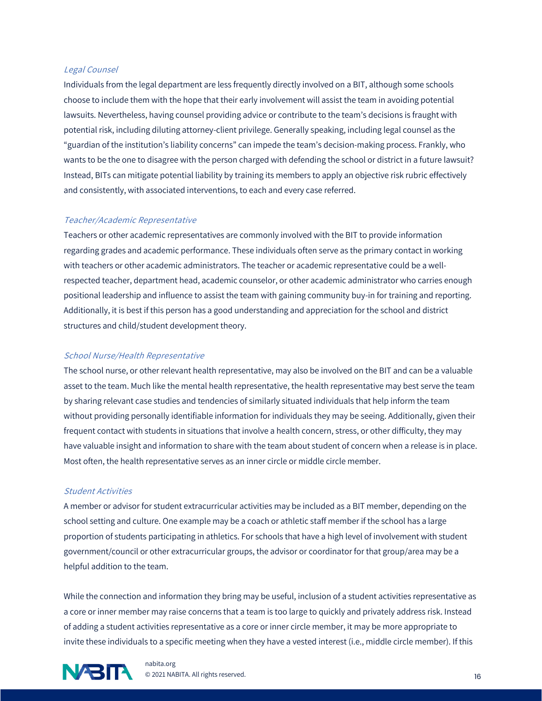#### Legal Counsel

Individuals from the legal department are less frequently directly involved on a BIT, although some schools choose to include them with the hope that their early involvement will assist the team in avoiding potential lawsuits. Nevertheless, having counsel providing advice or contribute to the team's decisions is fraught with potential risk, including diluting attorney-client privilege. Generally speaking, including legal counsel as the "guardian of the institution's liability concerns" can impede the team's decision-making process. Frankly, who wants to be the one to disagree with the person charged with defending the school or district in a future lawsuit? Instead, BITs can mitigate potential liability by training its members to apply an objective risk rubric effectively and consistently, with associated interventions, to each and every case referred.

#### Teacher/Academic Representative

Teachers or other academic representatives are commonly involved with the BIT to provide information regarding grades and academic performance. These individuals often serve as the primary contact in working with teachers or other academic administrators. The teacher or academic representative could be a wellrespected teacher, department head, academic counselor, or other academic administrator who carries enough positional leadership and influence to assist the team with gaining community buy-in for training and reporting. Additionally, it is best if this person has a good understanding and appreciation for the school and district structures and child/student development theory.

#### School Nurse/Health Representative

The school nurse, or other relevant health representative, may also be involved on the BIT and can be a valuable asset to the team. Much like the mental health representative, the health representative may best serve the team by sharing relevant case studies and tendencies of similarly situated individuals that help inform the team without providing personally identifiable information for individuals they may be seeing. Additionally, given their frequent contact with students in situations that involve a health concern, stress, or other difficulty, they may have valuable insight and information to share with the team about student of concern when a release is in place. Most often, the health representative serves as an inner circle or middle circle member.

#### Student Activities

A member or advisor for student extracurricular activities may be included as a BIT member, depending on the school setting and culture. One example may be a coach or athletic staff member if the school has a large proportion of students participating in athletics. For schools that have a high level of involvement with student government/council or other extracurricular groups, the advisor or coordinator for that group/area may be a helpful addition to the team.

While the connection and information they bring may be useful, inclusion of a student activities representative as a core or inner member may raise concerns that a team is too large to quickly and privately address risk. Instead of adding a student activities representative as a core or inner circle member, it may be more appropriate to invite these individuals to a specific meeting when they have a vested interest (i.e., middle circle member). If this